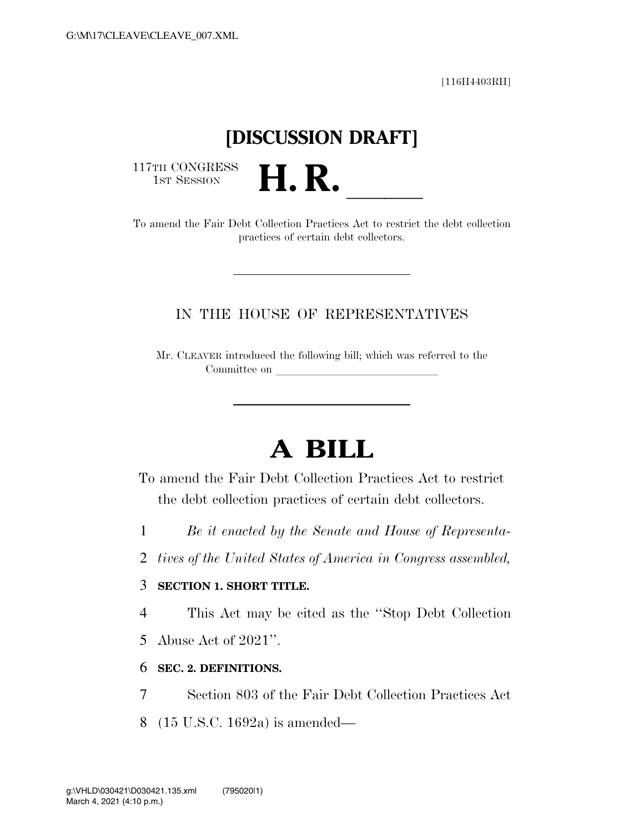[116H4403RH]

# **[DISCUSSION DRAFT]**

117TH CONGRESS<br>1st Session

117TH CONGRESS<br>
1ST SESSION<br>
To amend the Fair Debt Collection Practices Act to restrict the debt collection

practices of certain debt collectors.

## IN THE HOUSE OF REPRESENTATIVES

Mr. CLEAVER introduced the following bill; which was referred to the Committee on

# **A BILL**

- To amend the Fair Debt Collection Practices Act to restrict the debt collection practices of certain debt collectors.
- 1 *Be it enacted by the Senate and House of Representa-*
- 2 *tives of the United States of America in Congress assembled,*

### 3 **SECTION 1. SHORT TITLE.**

4 This Act may be cited as the ''Stop Debt Collection

5 Abuse Act of 2021''.

#### 6 **SEC. 2. DEFINITIONS.**

- 7 Section 803 of the Fair Debt Collection Practices Act
- 8 (15 U.S.C. 1692a) is amended—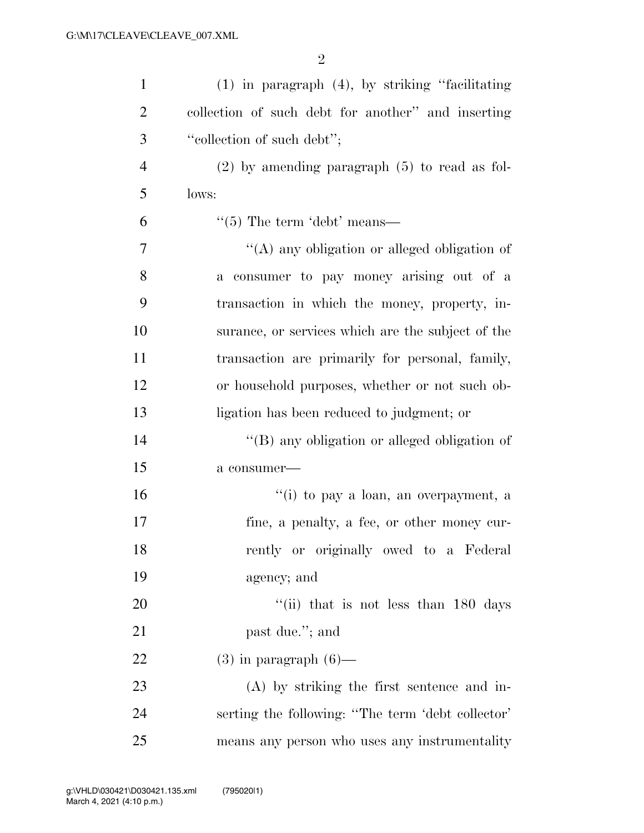| $\mathbf{1}$   | $(1)$ in paragraph $(4)$ , by striking "facilitating |
|----------------|------------------------------------------------------|
| $\overline{2}$ | collection of such debt for another" and inserting   |
| 3              | "collection of such debt";                           |
| $\overline{4}$ | $(2)$ by amending paragraph $(5)$ to read as fol-    |
| 5              | lows:                                                |
| 6              | $\lq(5)$ The term 'debt' means—                      |
| 7              | "(A) any obligation or alleged obligation of         |
| 8              | a consumer to pay money arising out of a             |
| 9              | transaction in which the money, property, in-        |
| 10             | surance, or services which are the subject of the    |
| 11             | transaction are primarily for personal, family,      |
| 12             | or household purposes, whether or not such ob-       |
| 13             | ligation has been reduced to judgment; or            |
| 14             | "(B) any obligation or alleged obligation of         |
| 15             | a consumer-                                          |
| 16             | "(i) to pay a loan, an overpayment, a                |
| 17             | fine, a penalty, a fee, or other money cur-          |
| 18             | rently or originally owed to a Federal               |
| 19             | agency; and                                          |
| 20             | "(ii) that is not less than $180$ days               |
| 21             | past due."; and                                      |
| 22             | $(3)$ in paragraph $(6)$ —                           |
| 23             | $(A)$ by striking the first sentence and in-         |
| 24             | serting the following: "The term 'debt collector'    |
| 25             | means any person who uses any instrumentality        |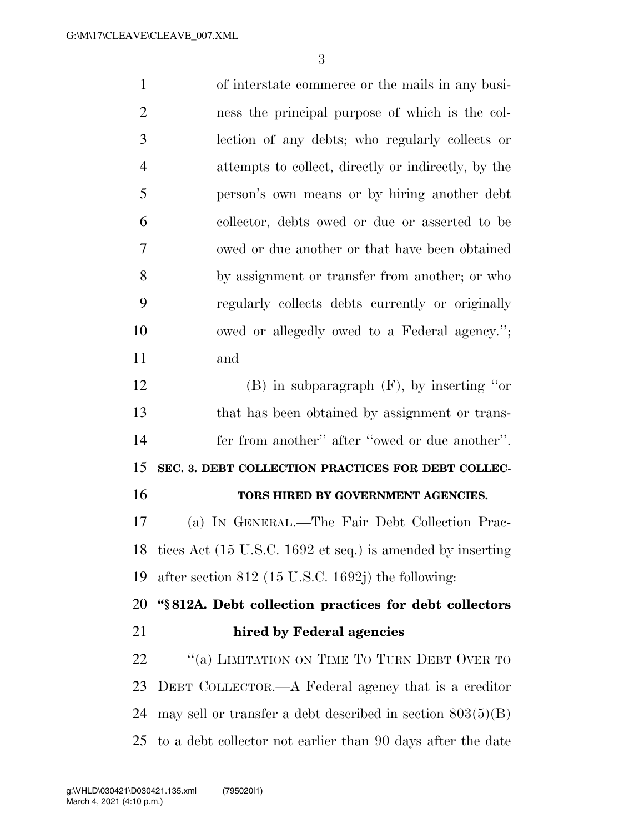of interstate commerce or the mails in any busi- ness the principal purpose of which is the col- lection of any debts; who regularly collects or attempts to collect, directly or indirectly, by the person's own means or by hiring another debt collector, debts owed or due or asserted to be owed or due another or that have been obtained by assignment or transfer from another; or who regularly collects debts currently or originally owed or allegedly owed to a Federal agency.''; and (B) in subparagraph (F), by inserting ''or that has been obtained by assignment or trans- fer from another'' after ''owed or due another''. **SEC. 3. DEBT COLLECTION PRACTICES FOR DEBT COLLEC- TORS HIRED BY GOVERNMENT AGENCIES.**  (a) IN GENERAL.—The Fair Debt Collection Prac- tices Act (15 U.S.C. 1692 et seq.) is amended by inserting after section 812 (15 U.S.C. 1692j) the following: **''§ 812A. Debt collection practices for debt collectors hired by Federal agencies**  22 "(a) LIMITATION ON TIME TO TURN DEBT OVER TO DEBT COLLECTOR.—A Federal agency that is a creditor may sell or transfer a debt described in section 803(5)(B)

to a debt collector not earlier than 90 days after the date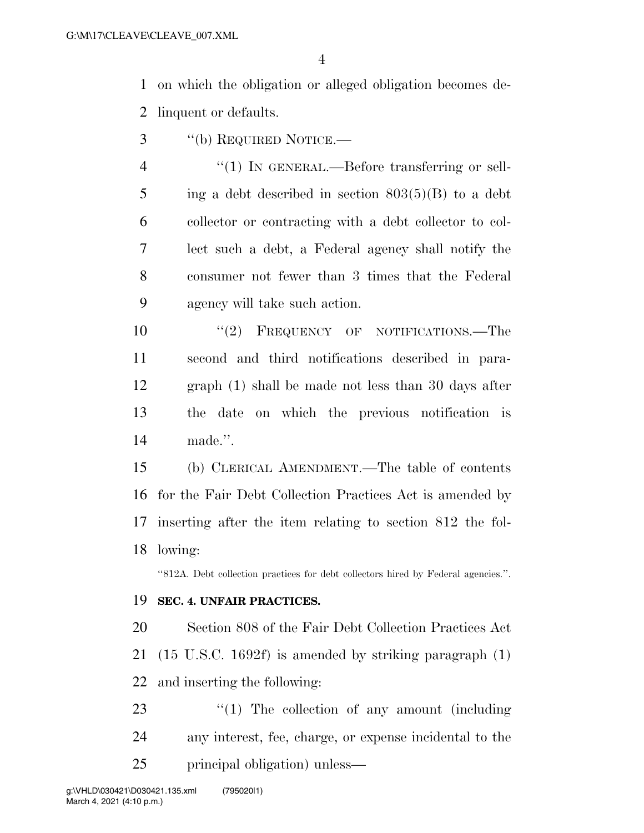on which the obligation or alleged obligation becomes de-linquent or defaults.

- ''(b) REQUIRED NOTICE.—
- 4 "(1) IN GENERAL.—Before transferring or sell-5 ing a debt described in section  $803(5)(B)$  to a debt collector or contracting with a debt collector to col- lect such a debt, a Federal agency shall notify the consumer not fewer than 3 times that the Federal agency will take such action.

 $(2)$  FREQUENCY OF NOTIFICATIONS. The second and third notifications described in para- graph (1) shall be made not less than 30 days after the date on which the previous notification is made.''.

 (b) CLERICAL AMENDMENT.—The table of contents for the Fair Debt Collection Practices Act is amended by inserting after the item relating to section 812 the fol-lowing:

''812A. Debt collection practices for debt collectors hired by Federal agencies.''.

#### **SEC. 4. UNFAIR PRACTICES.**

 Section 808 of the Fair Debt Collection Practices Act (15 U.S.C. 1692f) is amended by striking paragraph (1) and inserting the following:

23  $\frac{1}{2}$  The collection of any amount (including any interest, fee, charge, or expense incidental to the principal obligation) unless—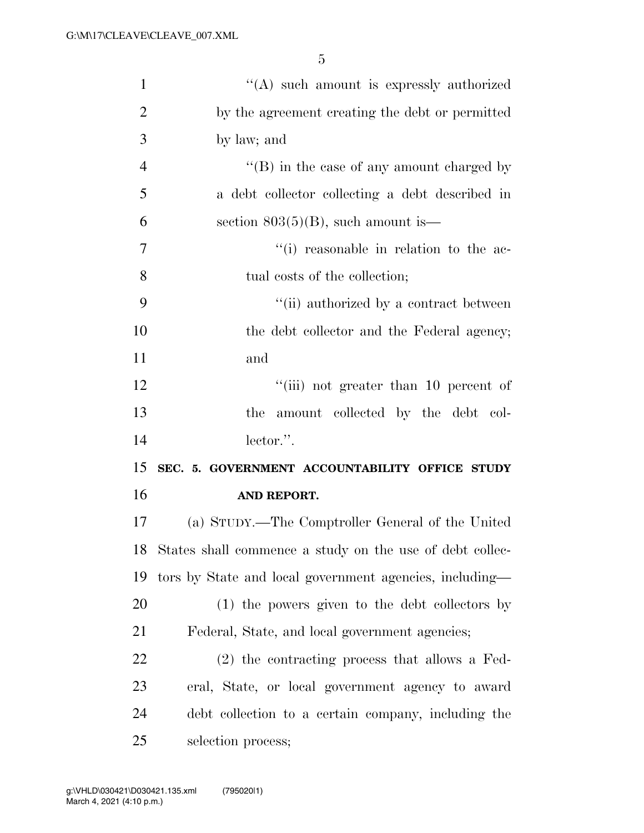| $\mathbf{1}$   | "(A) such amount is expressly authorized                    |
|----------------|-------------------------------------------------------------|
| $\overline{2}$ | by the agreement creating the debt or permitted             |
| 3              | by law; and                                                 |
| $\overline{4}$ | $\lq\lq (B)$ in the case of any amount charged by           |
| 5              | a debt collector collecting a debt described in             |
| 6              | section $803(5)(B)$ , such amount is—                       |
| $\tau$         | "(i) reasonable in relation to the ac-                      |
| 8              | tual costs of the collection;                               |
| 9              | "(ii) authorized by a contract between                      |
| 10             | the debt collector and the Federal agency;                  |
| 11             | and                                                         |
| 12             | "(iii) not greater than 10 percent of                       |
| 13             | the amount collected by the debt col-                       |
| 14             | lector.".                                                   |
| 15             | SEC. 5. GOVERNMENT ACCOUNTABILITY OFFICE STUDY              |
| 16             | AND REPORT.                                                 |
| 17             | (a) STUDY.—The Comptroller General of the United            |
|                | 18 States shall commence a study on the use of debt collec- |
| 19             | tors by State and local government agencies, including—     |
| 20             | (1) the powers given to the debt collectors by              |
| 21             | Federal, State, and local government agencies;              |
| 22             | (2) the contracting process that allows a Fed-              |
| 23             | eral, State, or local government agency to award            |
| 24             | debt collection to a certain company, including the         |
| 25             | selection process;                                          |